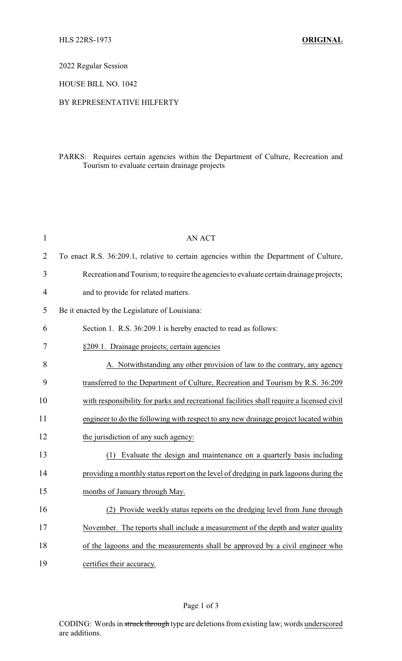2022 Regular Session

HOUSE BILL NO. 1042

## BY REPRESENTATIVE HILFERTY

## PARKS: Requires certain agencies within the Department of Culture, Recreation and Tourism to evaluate certain drainage projects

| $\mathbf{1}$   | <b>AN ACT</b>                                                                            |
|----------------|------------------------------------------------------------------------------------------|
| $\overline{2}$ | To enact R.S. 36:209.1, relative to certain agencies within the Department of Culture,   |
| 3              | Recreation and Tourism; to require the agencies to evaluate certain drainage projects;   |
| 4              | and to provide for related matters.                                                      |
| 5              | Be it enacted by the Legislature of Louisiana:                                           |
| 6              | Section 1. R.S. 36:209.1 is hereby enacted to read as follows:                           |
| 7              | §209.1. Drainage projects; certain agencies                                              |
| 8              | A. Notwithstanding any other provision of law to the contrary, any agency                |
| 9              | transferred to the Department of Culture, Recreation and Tourism by R.S. 36:209          |
| 10             | with responsibility for parks and recreational facilities shall require a licensed civil |
| 11             | engineer to do the following with respect to any new drainage project located within     |
| 12             | the jurisdiction of any such agency:                                                     |
| 13             | (1) Evaluate the design and maintenance on a quarterly basis including                   |
| 14             | providing a monthly status report on the level of dredging in park lagoons during the    |
| 15             | months of January through May.                                                           |
| 16             | (2) Provide weekly status reports on the dredging level from June through                |
| 17             | November. The reports shall include a measurement of the depth and water quality         |
| 18             | of the lagoons and the measurements shall be approved by a civil engineer who            |
| 19             | certifies their accuracy.                                                                |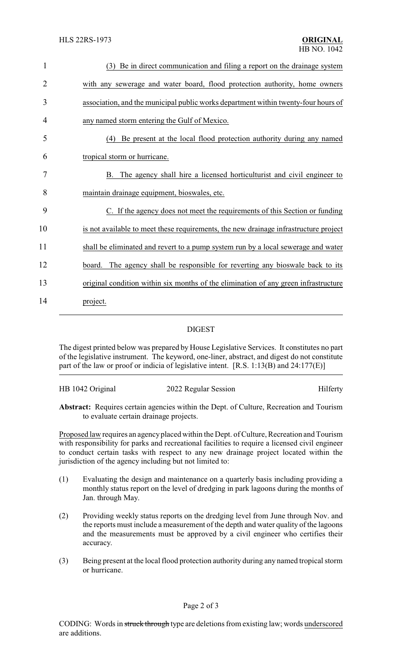| $\mathbf{1}$   | (3) Be in direct communication and filing a report on the drainage system            |
|----------------|--------------------------------------------------------------------------------------|
| $\overline{2}$ | with any sewerage and water board, flood protection authority, home owners           |
| 3              | association, and the municipal public works department within twenty-four hours of   |
| 4              | any named storm entering the Gulf of Mexico.                                         |
| 5              | (4) Be present at the local flood protection authority during any named              |
| 6              | tropical storm or hurricane.                                                         |
| 7              | B. The agency shall hire a licensed horticulturist and civil engineer to             |
| 8              | maintain drainage equipment, bioswales, etc.                                         |
| 9              | C. If the agency does not meet the requirements of this Section or funding           |
| 10             | is not available to meet these requirements, the new drainage infrastructure project |
| 11             | shall be eliminated and revert to a pump system run by a local sewerage and water    |
| 12             | The agency shall be responsible for reverting any bioswale back to its<br>board.     |
| 13             | original condition within six months of the elimination of any green infrastructure  |
| 14             | project.                                                                             |

## DIGEST

The digest printed below was prepared by House Legislative Services. It constitutes no part of the legislative instrument. The keyword, one-liner, abstract, and digest do not constitute part of the law or proof or indicia of legislative intent. [R.S. 1:13(B) and 24:177(E)]

| HB 1042 Original | 2022 Regular Session | Hilferty |
|------------------|----------------------|----------|
|                  |                      |          |

**Abstract:** Requires certain agencies within the Dept. of Culture, Recreation and Tourism to evaluate certain drainage projects.

Proposed law requires an agency placed within the Dept. of Culture, Recreation and Tourism with responsibility for parks and recreational facilities to require a licensed civil engineer to conduct certain tasks with respect to any new drainage project located within the jurisdiction of the agency including but not limited to:

- (1) Evaluating the design and maintenance on a quarterly basis including providing a monthly status report on the level of dredging in park lagoons during the months of Jan. through May.
- (2) Providing weekly status reports on the dredging level from June through Nov. and the reports must include a measurement of the depth and water quality of the lagoons and the measurements must be approved by a civil engineer who certifies their accuracy.
- (3) Being present at the local flood protection authority during any named tropical storm or hurricane.